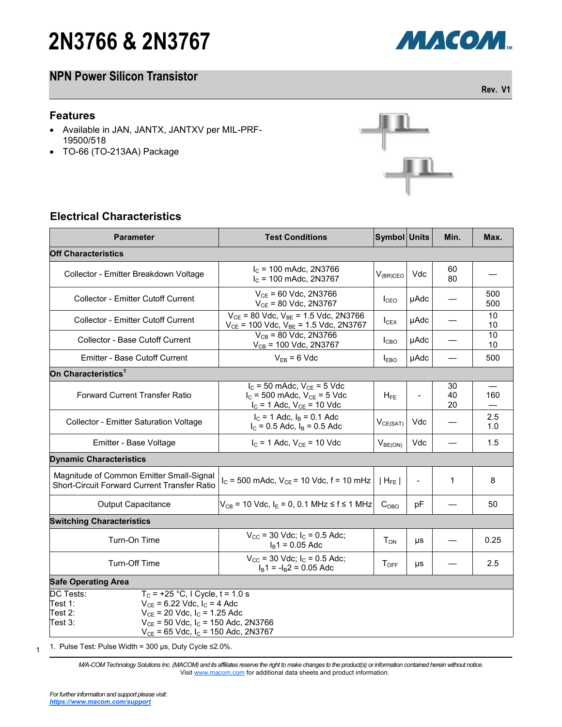# **2N3766 & 2N3767**

## **NPN Power Silicon Transistor**

#### **Features**

- Available in JAN, JANTX, JANTXV per MIL-PRF-19500/518
- TO-66 (TO-213AA) Package

# $\mathbb{F}$

## **Electrical Characteristics**

| <b>Parameter</b>                                                                                                                                                                                                                                                 | <b>Test Conditions</b>                                                                                      | Symbol Units        |                          | Min.           | Max.       |  |  |  |
|------------------------------------------------------------------------------------------------------------------------------------------------------------------------------------------------------------------------------------------------------------------|-------------------------------------------------------------------------------------------------------------|---------------------|--------------------------|----------------|------------|--|--|--|
| <b>Off Characteristics</b>                                                                                                                                                                                                                                       |                                                                                                             |                     |                          |                |            |  |  |  |
| Collector - Emitter Breakdown Voltage                                                                                                                                                                                                                            | $Ic$ = 100 mAdc, 2N3766<br>$I_c$ = 100 mAdc, 2N3767                                                         | $V_{(BR)CEO}$       | Vdc                      | 60<br>80       |            |  |  |  |
| Collector - Emitter Cutoff Current                                                                                                                                                                                                                               | $V_{CF}$ = 60 Vdc, 2N3766<br>$V_{CE}$ = 80 Vdc, 2N3767                                                      | I <sub>CEO</sub>    | <b>µAdc</b>              |                | 500<br>500 |  |  |  |
| <b>Collector - Emitter Cutoff Current</b>                                                                                                                                                                                                                        | $V_{CE}$ = 80 Vdc, $V_{BE}$ = 1.5 Vdc, 2N3766<br>$V_{CE}$ = 100 Vdc, $V_{BE}$ = 1.5 Vdc, 2N3767             | $I_{CEX}$           | µAdc                     |                | 10<br>10   |  |  |  |
| Collector - Base Cutoff Current                                                                                                                                                                                                                                  | $V_{CB}$ = 80 Vdc, 2N3766<br>$V_{CB}$ = 100 Vdc, 2N3767                                                     | I <sub>CBO</sub>    | µAdc                     |                | 10<br>10   |  |  |  |
| Emitter - Base Cutoff Current                                                                                                                                                                                                                                    | $V_{EB} = 6$ Vdc                                                                                            | $I_{EBO}$           | <b>µAdc</b>              |                | 500        |  |  |  |
| On Characteristics <sup>1</sup>                                                                                                                                                                                                                                  |                                                                                                             |                     |                          |                |            |  |  |  |
| <b>Forward Current Transfer Ratio</b>                                                                                                                                                                                                                            | $I_C$ = 50 mAdc, $V_{CE}$ = 5 Vdc<br>$I_C$ = 500 mAdc, $V_{CE}$ = 5 Vdc<br>$I_C = 1$ Adc, $V_{CE} = 10$ Vdc | $H_{FE}$            | $\overline{a}$           | 30<br>40<br>20 | 160        |  |  |  |
| <b>Collector - Emitter Saturation Voltage</b>                                                                                                                                                                                                                    | $I_C = 1$ Adc, $I_B = 0.1$ Adc<br>$I_C = 0.5$ Adc, $I_B = 0.5$ Adc                                          | $V_{CE(SAT)}$       | Vdc                      |                | 2.5<br>1.0 |  |  |  |
| Emitter - Base Voltage                                                                                                                                                                                                                                           | $I_{C}$ = 1 Adc, $V_{CE}$ = 10 Vdc                                                                          | V <sub>BE(ON)</sub> | Vdc                      |                | 1.5        |  |  |  |
| <b>Dynamic Characteristics</b>                                                                                                                                                                                                                                   |                                                                                                             |                     |                          |                |            |  |  |  |
| Magnitude of Common Emitter Small-Signal<br>Short-Circuit Forward Current Transfer Ratio                                                                                                                                                                         | $I_C$ = 500 mAdc, $V_{CE}$ = 10 Vdc, f = 10 mHz                                                             | $ H_{FE} $          | $\overline{\phantom{a}}$ | 1              | 8          |  |  |  |
| <b>Output Capacitance</b>                                                                                                                                                                                                                                        | $V_{CB}$ = 10 Vdc, $I_E$ = 0, 0.1 MHz $\leq f \leq 1$ MHz                                                   | C <sub>OBO</sub>    | рF                       |                | 50         |  |  |  |
| <b>Switching Characteristics</b>                                                                                                                                                                                                                                 |                                                                                                             |                     |                          |                |            |  |  |  |
| Turn-On Time                                                                                                                                                                                                                                                     | $V_{\text{CC}}$ = 30 Vdc; $I_{\text{C}}$ = 0.5 Adc;<br>$IB1 = 0.05$ Adc                                     | $T_{ON}$            | μs                       |                | 0.25       |  |  |  |
| Turn-Off Time                                                                                                                                                                                                                                                    | $V_{\text{CC}}$ = 30 Vdc; $I_{\text{C}}$ = 0.5 Adc;<br>$I_B$ 1 = $-I_B$ 2 = 0.05 Adc                        | $T_{OFF}$           | μs                       |                | 2.5        |  |  |  |
| <b>Safe Operating Area</b>                                                                                                                                                                                                                                       |                                                                                                             |                     |                          |                |            |  |  |  |
| <b>DC Tests:</b><br>$T_c$ = +25 °C, I Cycle, t = 1.0 s<br>$V_{CE}$ = 6.22 Vdc, $I_C$ = 4 Adc<br>Test 1:<br>$V_{CE}$ = 20 Vdc, $I_C$ = 1.25 Adc<br>Test 2:<br>$V_{CE}$ = 50 Vdc, $I_C$ = 150 Adc, 2N3766<br>Test 3:<br>$V_{CE}$ = 65 Vdc, $I_C$ = 150 Adc, 2N3767 |                                                                                                             |                     |                          |                |            |  |  |  |

1 1. Pulse Test: Pulse Width = 300 μs, Duty Cycle ≤2.0%.

> *M/A-COM Technology Solutions Inc. (MACOM) and its affiliates reserve the right to make changes to the product(s) or information contained herein without notice.*  Visit [www.macom.com](http://www.macom.com/) for additional data sheets and product information.



**Rev. V1**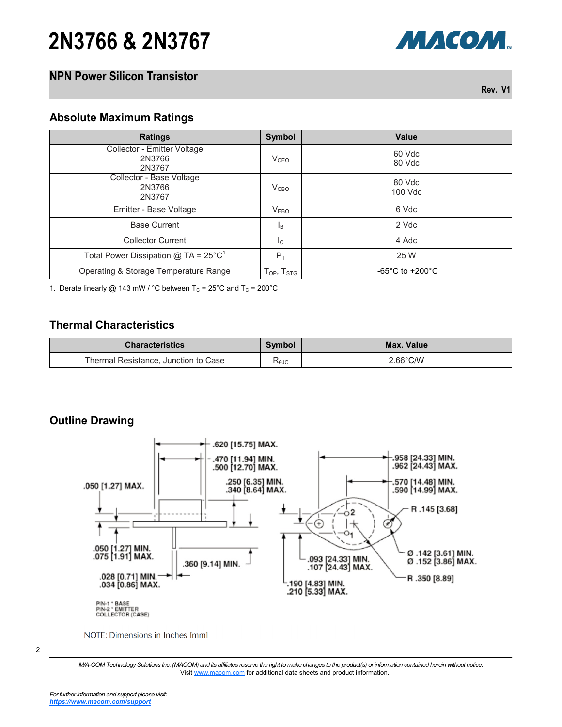# **2N3766 & 2N3767**

## **NPN Power Silicon Transistor**

**Rev. V1**

МАСОМ.

#### **Absolute Maximum Ratings**

| <b>Ratings</b>                                     | Symbol                                                   | Value                               |
|----------------------------------------------------|----------------------------------------------------------|-------------------------------------|
| Collector - Emitter Voltage<br>2N3766<br>2N3767    | V <sub>CEO</sub>                                         | 60 Vdc<br>80 Vdc                    |
| Collector - Base Voltage<br>2N3766<br>2N3767       | V <sub>CBO</sub>                                         | 80 Vdc<br>100 Vdc                   |
| Emitter - Base Voltage                             | V <sub>EBO</sub>                                         | 6 Vdc                               |
| <b>Base Current</b>                                | <sub>B</sub>                                             | 2 Vdc                               |
| <b>Collector Current</b>                           | $I_{\rm C}$                                              | 4 Adc                               |
| Total Power Dissipation $@$ TA = 25°C <sup>1</sup> | $P_T$                                                    | 25 W                                |
| Operating & Storage Temperature Range              | ${\mathsf T}_{\mathsf{OP}},\,{\mathsf T}_{\mathsf{STG}}$ | $-65^{\circ}$ C to $+200^{\circ}$ C |

1. Derate linearly @ 143 mW / °C between  $T_c = 25$ °C and  $T_c = 200$ °C

### **Thermal Characteristics**

| <b>Characteristics</b>               | Symbol    | Max. Value |
|--------------------------------------|-----------|------------|
| Thermal Resistance, Junction to Case | −<br>≺θJC | 2.66°C/W   |

#### **Outline Drawing**



NOTE: Dimensions in Inches [mm]

<sup>2</sup>

*M/A-COM Technology Solutions Inc. (MACOM) and its affiliates reserve the right to make changes to the product(s) or information contained herein without notice.*  Visit [www.macom.com](http://www.macom.com/) for additional data sheets and product information.